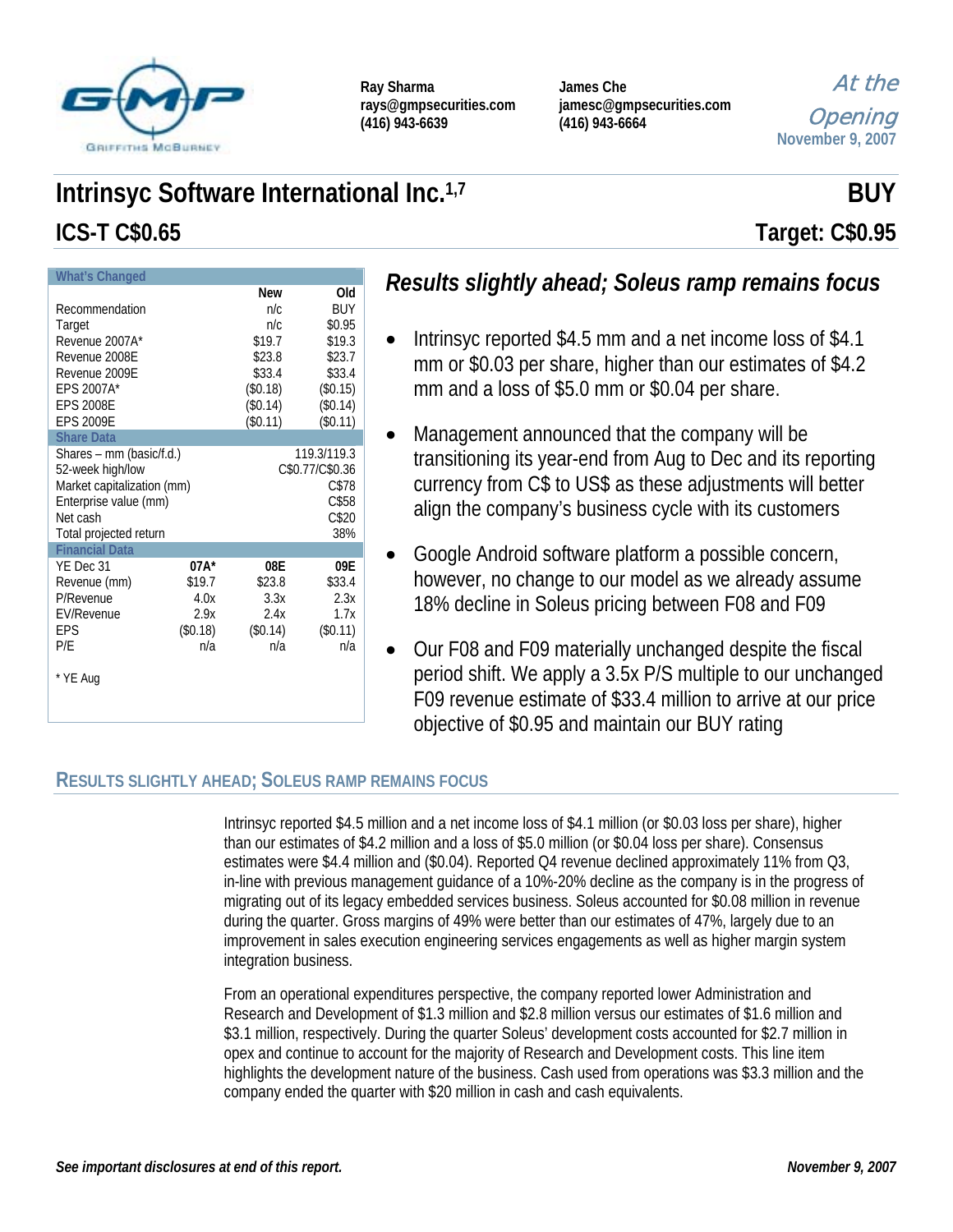

| Ray Sharma             |
|------------------------|
| rays@gmpsecurities.com |
| $(416)$ 943-6639       |

**James Che jamesc@gmpsecurities.com (416) 943-6664** 

At the Opening **November 9, 2007**

# **Intrinsyc Software International Inc.**<sup>1,7</sup> **BUY BUY ICS-T C\$0.65 Target: C\$0.95**

| What's Changed             |                 |            |          |  |  |  |
|----------------------------|-----------------|------------|----------|--|--|--|
|                            |                 | <b>New</b> | Old      |  |  |  |
| Recommendation             | n/c             | BUY        |          |  |  |  |
| Target                     | n/c<br>\$0.95   |            |          |  |  |  |
| Revenue 2007A*             | \$19.7          | \$19.3     |          |  |  |  |
| Revenue 2008E              | \$23.8          | \$23.7     |          |  |  |  |
| Revenue 2009E              | \$33.4          | \$33.4     |          |  |  |  |
| EPS 2007A*                 |                 | (\$0.18)   | (\$0.15) |  |  |  |
| <b>EPS 2008E</b>           |                 | (\$0.14)   | (\$0.14) |  |  |  |
| <b>EPS 2009E</b>           |                 | (\$0.11)   | (\$0.11) |  |  |  |
| <b>Share Data</b>          |                 |            |          |  |  |  |
| Shares - mm (basic/f.d.)   | 119.3/119.3     |            |          |  |  |  |
| 52-week high/low           | C\$0.77/C\$0.36 |            |          |  |  |  |
| Market capitalization (mm) | C\$78           |            |          |  |  |  |
| Enterprise value (mm)      | C\$58           |            |          |  |  |  |
| Net cash                   | C\$20           |            |          |  |  |  |
| Total projected return     |                 | 38%        |          |  |  |  |
| <b>Financial Data</b>      |                 |            |          |  |  |  |
| YE Dec 31                  | $07A*$          | 08E        | 09E      |  |  |  |
| Revenue (mm)               | \$19.7          | \$23.8     | \$33.4   |  |  |  |
| P/Revenue                  | 4.0x            | 3.3x       | 2.3x     |  |  |  |
| EV/Revenue                 | 2.9x            | 2.4x       | 1.7x     |  |  |  |
| EPS                        | (\$0.18)        | (\$0.14)   | (\$0.11) |  |  |  |
| P/E                        | n/a             | n/a        | n/a      |  |  |  |
|                            |                 |            |          |  |  |  |
| * YE Aug                   |                 |            |          |  |  |  |
|                            |                 |            |          |  |  |  |
|                            |                 |            |          |  |  |  |

# *Results slightly ahead; Soleus ramp remains focus*

- Intrinsyc reported \$4.5 mm and a net income loss of \$4.1 mm or \$0.03 per share, higher than our estimates of \$4.2 mm and a loss of \$5.0 mm or \$0.04 per share.
- Management announced that the company will be transitioning its year-end from Aug to Dec and its reporting currency from C\$ to US\$ as these adjustments will better align the company's business cycle with its customers
- Google Android software platform a possible concern, however, no change to our model as we already assume 18% decline in Soleus pricing between F08 and F09
- Our F08 and F09 materially unchanged despite the fiscal period shift. We apply a 3.5x P/S multiple to our unchanged F09 revenue estimate of \$33.4 million to arrive at our price objective of \$0.95 and maintain our BUY rating

## **RESULTS SLIGHTLY AHEAD; SOLEUS RAMP REMAINS FOCUS**

Intrinsyc reported \$4.5 million and a net income loss of \$4.1 million (or \$0.03 loss per share), higher than our estimates of \$4.2 million and a loss of \$5.0 million (or \$0.04 loss per share). Consensus estimates were \$4.4 million and (\$0.04). Reported Q4 revenue declined approximately 11% from Q3, in-line with previous management guidance of a 10%-20% decline as the company is in the progress of migrating out of its legacy embedded services business. Soleus accounted for \$0.08 million in revenue during the quarter. Gross margins of 49% were better than our estimates of 47%, largely due to an improvement in sales execution engineering services engagements as well as higher margin system integration business.

From an operational expenditures perspective, the company reported lower Administration and Research and Development of \$1.3 million and \$2.8 million versus our estimates of \$1.6 million and \$3.1 million, respectively. During the quarter Soleus' development costs accounted for \$2.7 million in opex and continue to account for the majority of Research and Development costs. This line item highlights the development nature of the business. Cash used from operations was \$3.3 million and the company ended the quarter with \$20 million in cash and cash equivalents.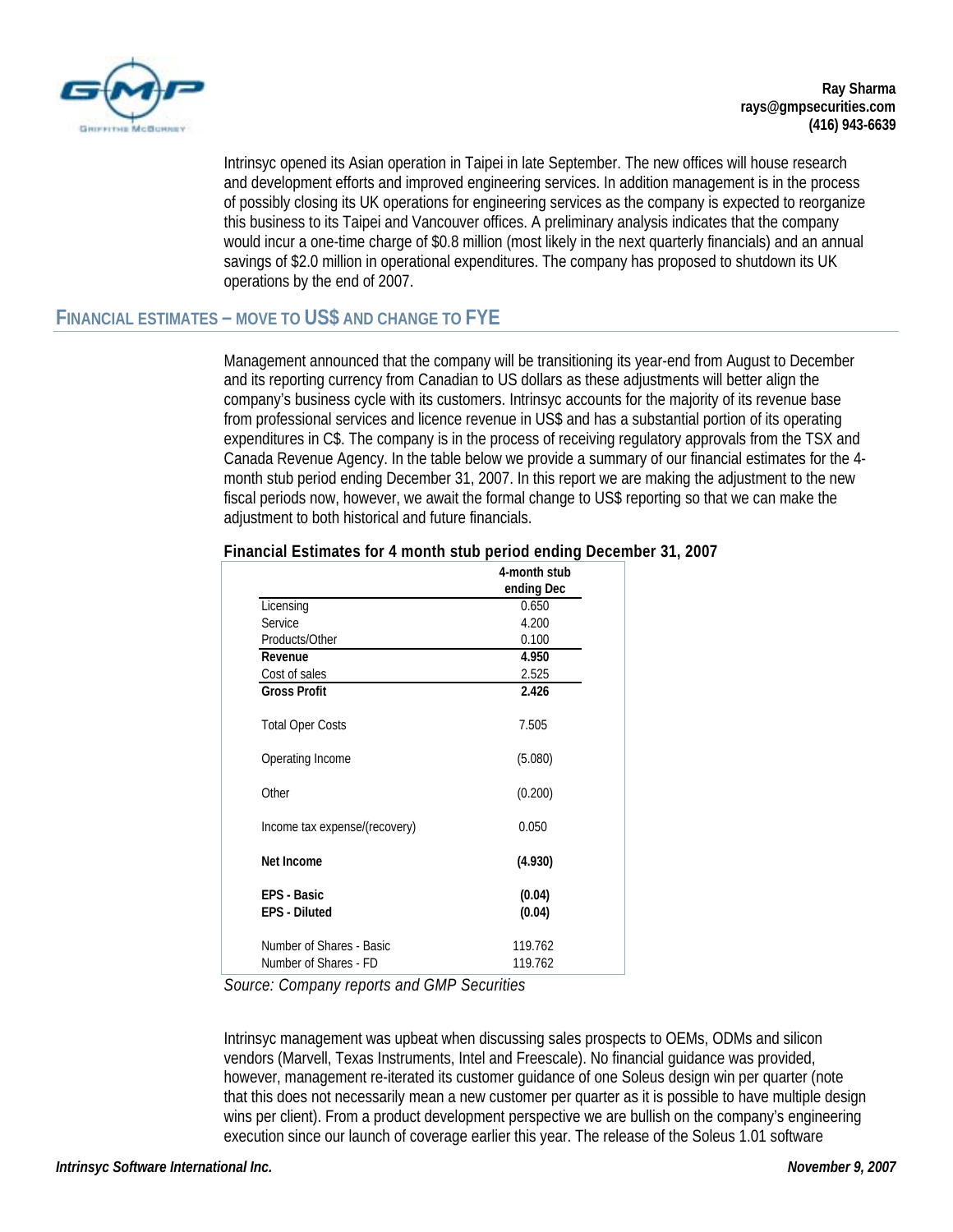

Intrinsyc opened its Asian operation in Taipei in late September. The new offices will house research and development efforts and improved engineering services. In addition management is in the process of possibly closing its UK operations for engineering services as the company is expected to reorganize this business to its Taipei and Vancouver offices. A preliminary analysis indicates that the company would incur a one-time charge of \$0.8 million (most likely in the next quarterly financials) and an annual savings of \$2.0 million in operational expenditures. The company has proposed to shutdown its UK operations by the end of 2007.

### **FINANCIAL ESTIMATES – MOVE TO US\$ AND CHANGE TO FYE**

Management announced that the company will be transitioning its year-end from August to December and its reporting currency from Canadian to US dollars as these adjustments will better align the company's business cycle with its customers. Intrinsyc accounts for the majority of its revenue base from professional services and licence revenue in US\$ and has a substantial portion of its operating expenditures in C\$. The company is in the process of receiving regulatory approvals from the TSX and Canada Revenue Agency. In the table below we provide a summary of our financial estimates for the 4 month stub period ending December 31, 2007. In this report we are making the adjustment to the new fiscal periods now, however, we await the formal change to US\$ reporting so that we can make the adjustment to both historical and future financials.

|                               | 4-month stub |
|-------------------------------|--------------|
|                               | ending Dec   |
| Licensing                     | 0.650        |
| Service                       | 4.200        |
| Products/Other                | 0.100        |
| Revenue                       | 4.950        |
| Cost of sales                 | 2.525        |
| <b>Gross Profit</b>           | 2.426        |
| <b>Total Oper Costs</b>       | 7.505        |
| Operating Income              | (5.080)      |
| Other                         | (0.200)      |
| Income tax expense/(recovery) | 0.050        |
| Net Income                    | (4.930)      |
| FPS - Basic                   | (0.04)       |
| <b>EPS - Diluted</b>          | (0.04)       |
| Number of Shares - Basic      | 119.762      |
| Number of Shares - FD         | 119.762      |

#### **Financial Estimates for 4 month stub period ending December 31, 2007**

*Source: Company reports and GMP Securities* 

Intrinsyc management was upbeat when discussing sales prospects to OEMs, ODMs and silicon vendors (Marvell, Texas Instruments, Intel and Freescale). No financial guidance was provided, however, management re-iterated its customer guidance of one Soleus design win per quarter (note that this does not necessarily mean a new customer per quarter as it is possible to have multiple design wins per client). From a product development perspective we are bullish on the company's engineering execution since our launch of coverage earlier this year. The release of the Soleus 1.01 software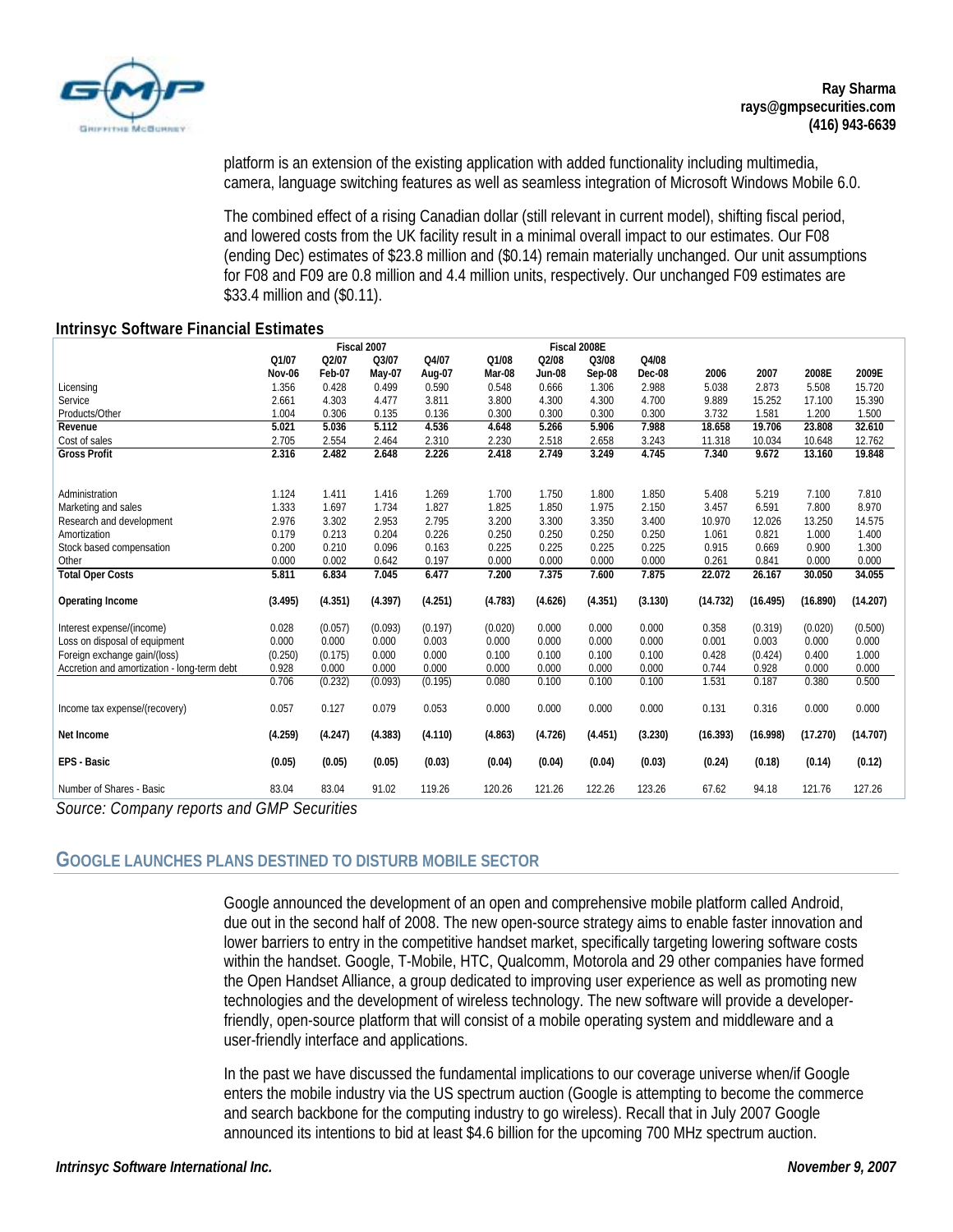

platform is an extension of the existing application with added functionality including multimedia, camera, language switching features as well as seamless integration of Microsoft Windows Mobile 6.0.

The combined effect of a rising Canadian dollar (still relevant in current model), shifting fiscal period, and lowered costs from the UK facility result in a minimal overall impact to our estimates. Our F08 (ending Dec) estimates of \$23.8 million and (\$0.14) remain materially unchanged. Our unit assumptions for F08 and F09 are 0.8 million and 4.4 million units, respectively. Our unchanged F09 estimates are \$33.4 million and (\$0.11).

#### **Intrinsyc Software Financial Estimates**

|                                             | Fiscal 2007 |         |         |         |         | Fiscal 2008E |         |               |          |          |          |          |
|---------------------------------------------|-------------|---------|---------|---------|---------|--------------|---------|---------------|----------|----------|----------|----------|
|                                             | O1/07       | Q2/07   | Q3/07   | Q4/07   | Q1/08   | Q2/08        | Q3/08   | Q4/08         |          |          |          |          |
|                                             | Nov-06      | Feb-07  | May-07  | Aug-07  | Mar-08  | Jun-08       | Sep-08  | <b>Dec-08</b> | 2006     | 2007     | 2008E    | 2009E    |
| Licensing                                   | 1.356       | 0.428   | 0.499   | 0.590   | 0.548   | 0.666        | 1.306   | 2.988         | 5.038    | 2.873    | 5.508    | 15.720   |
| Service                                     | 2.661       | 4.303   | 4.477   | 3.811   | 3.800   | 4.300        | 4.300   | 4.700         | 9.889    | 15.252   | 17.100   | 15.390   |
| Products/Other                              | 1.004       | 0.306   | 0.135   | 0.136   | 0.300   | 0.300        | 0.300   | 0.300         | 3.732    | 1.581    | 1.200    | 1.500    |
| Revenue                                     | 5.021       | 5.036   | 5.112   | 4.536   | 4.648   | 5.266        | 5.906   | 7.988         | 18.658   | 19.706   | 23.808   | 32.610   |
| Cost of sales                               | 2.705       | 2.554   | 2.464   | 2.310   | 2.230   | 2.518        | 2.658   | 3.243         | 11.318   | 10.034   | 10.648   | 12.762   |
| <b>Gross Profit</b>                         | 2.316       | 2.482   | 2.648   | 2.226   | 2.418   | 2.749        | 3.249   | 4.745         | 7.340    | 9.672    | 13.160   | 19.848   |
|                                             |             |         |         |         |         |              |         |               |          |          |          |          |
| Administration                              | 1.124       | 1.411   | 1.416   | 1.269   | 1.700   | 1.750        | 1.800   | 1.850         | 5.408    | 5.219    | 7.100    | 7.810    |
| Marketing and sales                         | 1.333       | 1.697   | 1.734   | 1.827   | 1.825   | 1.850        | 1.975   | 2.150         | 3.457    | 6.591    | 7.800    | 8.970    |
| Research and development                    | 2.976       | 3.302   | 2.953   | 2.795   | 3.200   | 3.300        | 3.350   | 3.400         | 10.970   | 12.026   | 13.250   | 14.575   |
| Amortization                                | 0.179       | 0.213   | 0.204   | 0.226   | 0.250   | 0.250        | 0.250   | 0.250         | 1.061    | 0.821    | 1.000    | 1.400    |
| Stock based compensation                    | 0.200       | 0.210   | 0.096   | 0.163   | 0.225   | 0.225        | 0.225   | 0.225         | 0.915    | 0.669    | 0.900    | 1.300    |
| Other                                       | 0.000       | 0.002   | 0.642   | 0.197   | 0.000   | 0.000        | 0.000   | 0.000         | 0.261    | 0.841    | 0.000    | 0.000    |
| <b>Total Oper Costs</b>                     | 5.811       | 6.834   | 7.045   | 6.477   | 7.200   | 7.375        | 7.600   | 7.875         | 22.072   | 26.167   | 30.050   | 34.055   |
|                                             |             |         |         |         |         |              |         |               |          |          |          |          |
| Operating Income                            | (3.495)     | (4.351) | (4.397) | (4.251) | (4.783) | (4.626)      | (4.351) | (3.130)       | (14.732) | (16.495) | (16.890) | (14.207) |
| Interest expense/(income)                   | 0.028       | (0.057) | (0.093) | (0.197) | (0.020) | 0.000        | 0.000   | 0.000         | 0.358    | (0.319)  | (0.020)  | (0.500)  |
| Loss on disposal of equipment               | 0.000       | 0.000   | 0.000   | 0.003   | 0.000   | 0.000        | 0.000   | 0.000         | 0.001    | 0.003    | 0.000    | 0.000    |
| Foreign exchange gain/(loss)                | (0.250)     | (0.175) | 0.000   | 0.000   | 0.100   | 0.100        | 0.100   | 0.100         | 0.428    | (0.424)  | 0.400    | 1.000    |
| Accretion and amortization - long-term debt | 0.928       | 0.000   | 0.000   | 0.000   | 0.000   | 0.000        | 0.000   | 0.000         | 0.744    | 0.928    | 0.000    | 0.000    |
|                                             | 0.706       | (0.232) | (0.093) | (0.195) | 0.080   | 0.100        | 0.100   | 0.100         | 1.531    | 0.187    | 0.380    | 0.500    |
| Income tax expense/(recovery)               | 0.057       | 0.127   | 0.079   | 0.053   | 0.000   | 0.000        | 0.000   | 0.000         | 0.131    | 0.316    | 0.000    | 0.000    |
| Net Income                                  | (4.259)     | (4.247) | (4.383) | (4.110) | (4.863) | (4.726)      | (4.451) | (3.230)       | (16.393) | (16.998) | (17.270) | (14.707) |
| EPS - Basic                                 | (0.05)      | (0.05)  | (0.05)  | (0.03)  | (0.04)  | (0.04)       | (0.04)  | (0.03)        | (0.24)   | (0.18)   | (0.14)   | (0.12)   |
| Number of Shares - Basic                    | 83.04       | 83.04   | 91.02   | 119.26  | 120.26  | 121.26       | 122.26  | 123.26        | 67.62    | 94.18    | 121.76   | 127.26   |

*Source: Company reports and GMP Securities* 

#### **GOOGLE LAUNCHES PLANS DESTINED TO DISTURB MOBILE SECTOR**

Google announced the development of an open and comprehensive mobile platform called Android, due out in the second half of 2008. The new open-source strategy aims to enable faster innovation and lower barriers to entry in the competitive handset market, specifically targeting lowering software costs within the handset. Google, T-Mobile, HTC, Qualcomm, Motorola and 29 other companies have formed the Open Handset Alliance, a group dedicated to improving user experience as well as promoting new technologies and the development of wireless technology. The new software will provide a developerfriendly, open-source platform that will consist of a mobile operating system and middleware and a user-friendly interface and applications.

In the past we have discussed the fundamental implications to our coverage universe when/if Google enters the mobile industry via the US spectrum auction (Google is attempting to become the commerce and search backbone for the computing industry to go wireless). Recall that in July 2007 Google announced its intentions to bid at least \$4.6 billion for the upcoming 700 MHz spectrum auction.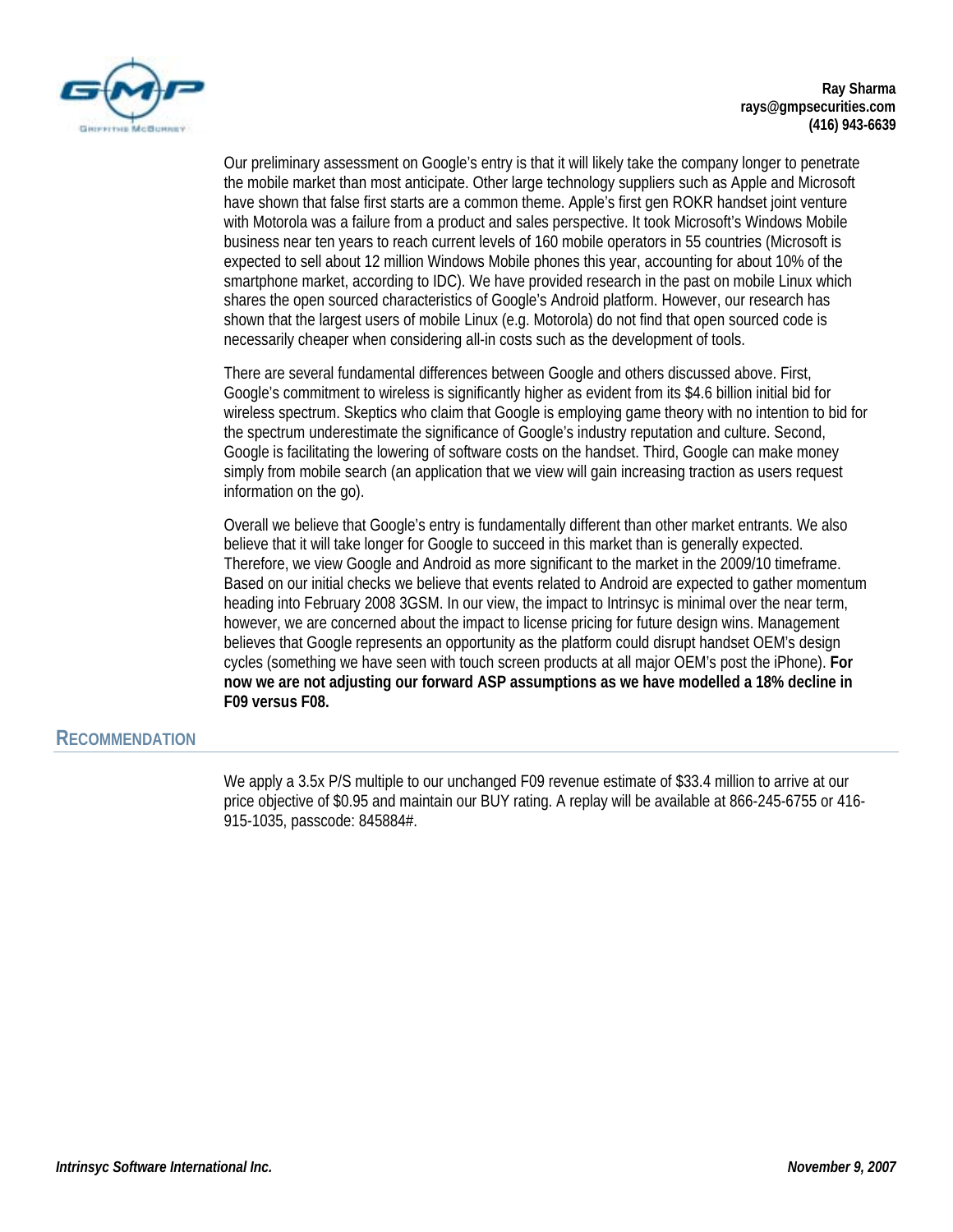

Our preliminary assessment on Google's entry is that it will likely take the company longer to penetrate the mobile market than most anticipate. Other large technology suppliers such as Apple and Microsoft have shown that false first starts are a common theme. Apple's first gen ROKR handset joint venture with Motorola was a failure from a product and sales perspective. It took Microsoft's Windows Mobile business near ten years to reach current levels of 160 mobile operators in 55 countries (Microsoft is expected to sell about 12 million Windows Mobile phones this year, accounting for about 10% of the smartphone market, according to IDC). We have provided research in the past on mobile Linux which shares the open sourced characteristics of Google's Android platform. However, our research has shown that the largest users of mobile Linux (e.g. Motorola) do not find that open sourced code is necessarily cheaper when considering all-in costs such as the development of tools.

There are several fundamental differences between Google and others discussed above. First, Google's commitment to wireless is significantly higher as evident from its \$4.6 billion initial bid for wireless spectrum. Skeptics who claim that Google is employing game theory with no intention to bid for the spectrum underestimate the significance of Google's industry reputation and culture. Second, Google is facilitating the lowering of software costs on the handset. Third, Google can make money simply from mobile search (an application that we view will gain increasing traction as users request information on the go).

Overall we believe that Google's entry is fundamentally different than other market entrants. We also believe that it will take longer for Google to succeed in this market than is generally expected. Therefore, we view Google and Android as more significant to the market in the 2009/10 timeframe. Based on our initial checks we believe that events related to Android are expected to gather momentum heading into February 2008 3GSM. In our view, the impact to Intrinsyc is minimal over the near term, however, we are concerned about the impact to license pricing for future design wins. Management believes that Google represents an opportunity as the platform could disrupt handset OEM's design cycles (something we have seen with touch screen products at all major OEM's post the iPhone). **For now we are not adjusting our forward ASP assumptions as we have modelled a 18% decline in F09 versus F08.**

#### **RECOMMENDATION**

We apply a 3.5x P/S multiple to our unchanged F09 revenue estimate of \$33.4 million to arrive at our price objective of \$0.95 and maintain our BUY rating. A replay will be available at 866-245-6755 or 416- 915-1035, passcode: 845884#.